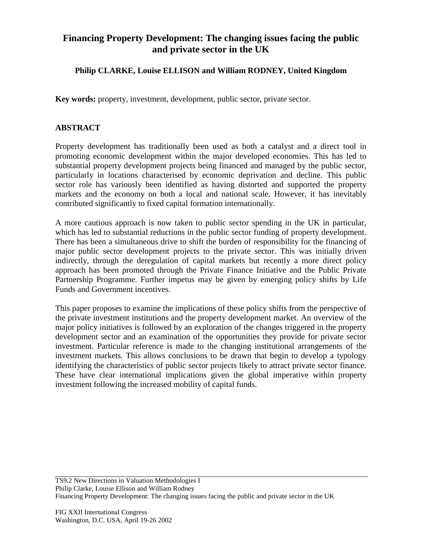## **Financing Property Development: The changing issues facing the public and private sector in the UK**

## **Philip CLARKE, Louise ELLISON and William RODNEY, United Kingdom**

**Key words:** property, investment, development, public sector, private sector.

## **ABSTRACT**

Property development has traditionally been used as both a catalyst and a direct tool in promoting economic development within the major developed economies. This has led to substantial property development projects being financed and managed by the public sector, particularly in locations characterised by economic deprivation and decline. This public sector role has variously been identified as having distorted and supported the property markets and the economy on both a local and national scale. However, it has inevitably contributed significantly to fixed capital formation internationally.

A more cautious approach is now taken to public sector spending in the UK in particular, which has led to substantial reductions in the public sector funding of property development. There has been a simultaneous drive to shift the burden of responsibility for the financing of major public sector development projects to the private sector. This was initially driven indirectly, through the deregulation of capital markets but recently a more direct policy approach has been promoted through the Private Finance Initiative and the Public Private Partnership Programme. Further impetus may be given by emerging policy shifts by Life Funds and Government incentives.

This paper proposes to examine the implications of these policy shifts from the perspective of the private investment institutions and the property development market. An overview of the major policy initiatives is followed by an exploration of the changes triggered in the property development sector and an examination of the opportunities they provide for private sector investment. Particular reference is made to the changing institutional arrangements of the investment markets. This allows conclusions to be drawn that begin to develop a typology identifying the characteristics of public sector projects likely to attract private sector finance. These have clear international implications given the global imperative within property investment following the increased mobility of capital funds.